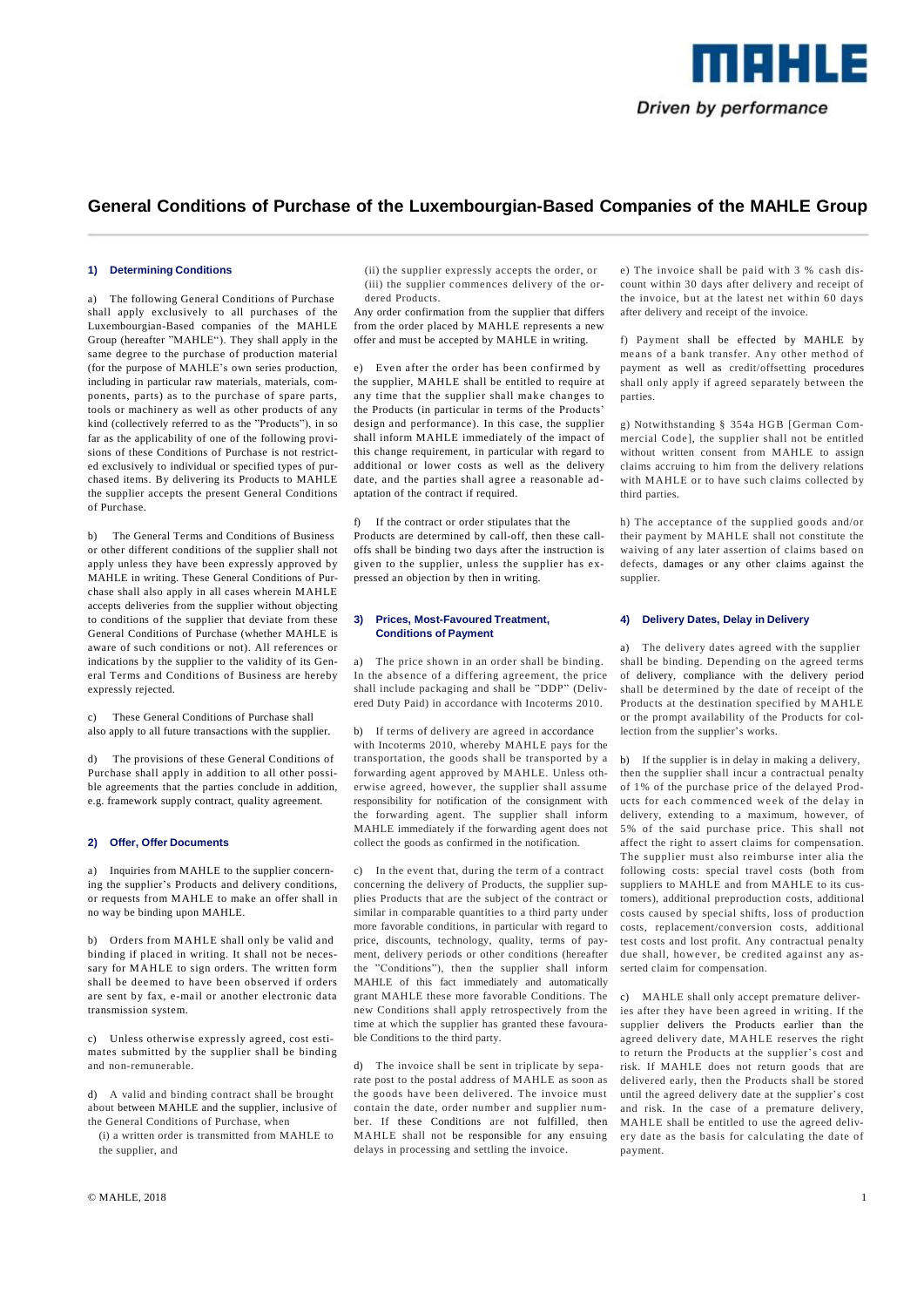

## **1) Determining Conditions**

a) The following General Conditions of Purchase shall apply exclusively to all purchases of the Luxembourgian-Based companies of the MAHLE Group (hereafter "MAHLE"). They shall apply in the same degree to the purchase of production material (for the purpose of MAHLE's own series production, including in particular raw materials, materials, components, parts) as to the purchase of spare parts, tools or machinery as well as other products of any kind (collectively referred to as the "Products"), in so far as the applicability of one of the following provisions of these Conditions of Purchase is not restricted exclusively to individual or specified types of purchased items. By delivering its Products to MAHLE the supplier accepts the present General Conditions of Purchase.

b) The General Terms and Conditions of Business or other different conditions of the supplier shall not apply unless they have been expressly approved by MAHLE in writing. These General Conditions of Purchase shall also apply in all cases wherein MAHLE accepts deliveries from the supplier without objecting to conditions of the supplier that deviate from these General Conditions of Purchase (whether MAHLE is aware of such conditions or not). All references or indications by the supplier to the validity of its General Terms and Conditions of Business are hereby expressly rejected.

c) These General Conditions of Purchase shall also apply to all future transactions with the supplier.

d) The provisions of these General Conditions of Purchase shall apply in addition to all other possible agreements that the parties conclude in addition, e.g. framework supply contract, quality agreement.

#### **2) Offer, Offer Documents**

a) Inquiries from MAHLE to the supplier concerning the supplier's Products and delivery conditions, or requests from MAHLE to make an offer shall in no way be binding upon MAHLE.

b) Orders from MAHLE shall only be valid and binding if placed in writing. It shall not be necessary for MAHLE to sign orders. The written form shall be deemed to have been observed if orders are sent by fax, e-mail or another electronic data transmission system.

c) Unless otherwise expressly agreed, cost estimates submitted by the supplier shall be binding and non-remunerable.

d) A valid and binding contract shall be brought about between MAHLE and the supplier, inclusive of the General Conditions of Purchase, when

(i) a written order is transmitted from MAHLE to the supplier, and

(ii) the supplier expressly accepts the order, or (iii) the supplier commences delivery of the ordered Products.

Any order confirmation from the supplier that differs from the order placed by MAHLE represents a new offer and must be accepted by MAHLE in writing.

e) Even after the order has been confirmed by the supplier, MAHLE shall be entitled to require at any time that the supplier shall make changes to the Products (in particular in terms of the Products' design and performance). In this case, the supplier shall inform MAHLE immediately of the impact of this change requirement, in particular with regard to additional or lower costs as well as the delivery date, and the parties shall agree a reasonable adaptation of the contract if required.

f) If the contract or order stipulates that the Products are determined by call-off, then these calloffs shall be binding two days after the instruction is given to the supplier, unless the supplier has expressed an objection by then in writing.

### **3) Prices, Most-Favoured Treatment, Conditions of Payment**

The price shown in an order shall be binding. In the absence of a differing agreement, the price shall include packaging and shall be "DDP" (Delivered Duty Paid) in accordance with Incoterms 2010.

b) If terms of delivery are agreed in accordance with Incoterms 2010, whereby MAHLE pays for the transportation, the goods shall be transported by a forwarding agent approved by MAHLE. Unless otherwise agreed, however, the supplier shall assume responsibility for notification of the consignment with the forwarding agent. The supplier shall inform MAHLE immediately if the forwarding agent does not collect the goods as confirmed in the notification.

c) In the event that, during the term of a contract concerning the delivery of Products, the supplier supplies Products that are the subject of the contract or similar in comparable quantities to a third party under more favorable conditions, in particular with regard to price, discounts, technology, quality, terms of payment, delivery periods or other conditions (hereafter the "Conditions"), then the supplier shall inform MAHLE of this fact immediately and automatically grant MAHLE these more favorable Conditions. The new Conditions shall apply retrospectively from the time at which the supplier has granted these favourable Conditions to the third party.

d) The invoice shall be sent in triplicate by separate post to the postal address of MAHLE as soon as the goods have been delivered. The invoice must contain the date, order number and supplier number. If these Conditions are not fulfilled, then MAHLE shall not be responsible for any ensuing delays in processing and settling the invoice.

e) The invoice shall be paid with 3 % cash discount within 30 days after delivery and receipt of the invoice, but at the latest net within 60 days after delivery and receipt of the invoice.

f) Payment shall be effected by MAHLE by means of a bank transfer. Any other method of payment as well as credit/offsetting procedures shall only apply if agreed separately between the parties.

g) Notwithstanding § 354a HGB [German Commercial Code], the supplier shall not be entitled without written consent from MAHLE to assign claims accruing to him from the delivery relations with MAHLE or to have such claims collected by third parties.

h) The acceptance of the supplied goods and/or their payment by MAHLE shall not constitute the waiving of any later assertion of claims based on defects, damages or any other claims against the supplier.

### **4) Delivery Dates, Delay in Delivery**

a) The delivery dates agreed with the supplier shall be binding. Depending on the agreed terms of delivery, compliance with the delivery period shall be determined by the date of receipt of the Products at the destination specified by MAHLE or the prompt availability of the Products for collection from the supplier's works.

b) If the supplier is in delay in making a delivery, then the supplier shall incur a contractual penalty of 1% of the purchase price of the delayed Products for each commenced week of the delay in delivery, extending to a maximum, however, of 5% of the said purchase price. This shall not affect the right to assert claims for compensation. The supplier must also reimburse inter alia the following costs: special travel costs (both from suppliers to MAHLE and from MAHLE to its customers), additional preproduction costs, additional costs caused by special shifts, loss of production costs, replacement/conversion costs, additional test costs and lost profit. Any contractual penalty due shall, however, be credited against any asserted claim for compensation.

c) MAHLE shall only accept premature deliveries after they have been agreed in writing. If the supplier delivers the Products earlier than the agreed delivery date, M AHLE reserves the right to return the Products at the supplier's cost and risk. If MAHLE does not return goods that are delivered early, then the Products shall be stored until the agreed delivery date at the supplier's cost and risk. In the case of a premature delivery, MAHLE shall be entitled to use the agreed delivery date as the basis for calculating the date of payment.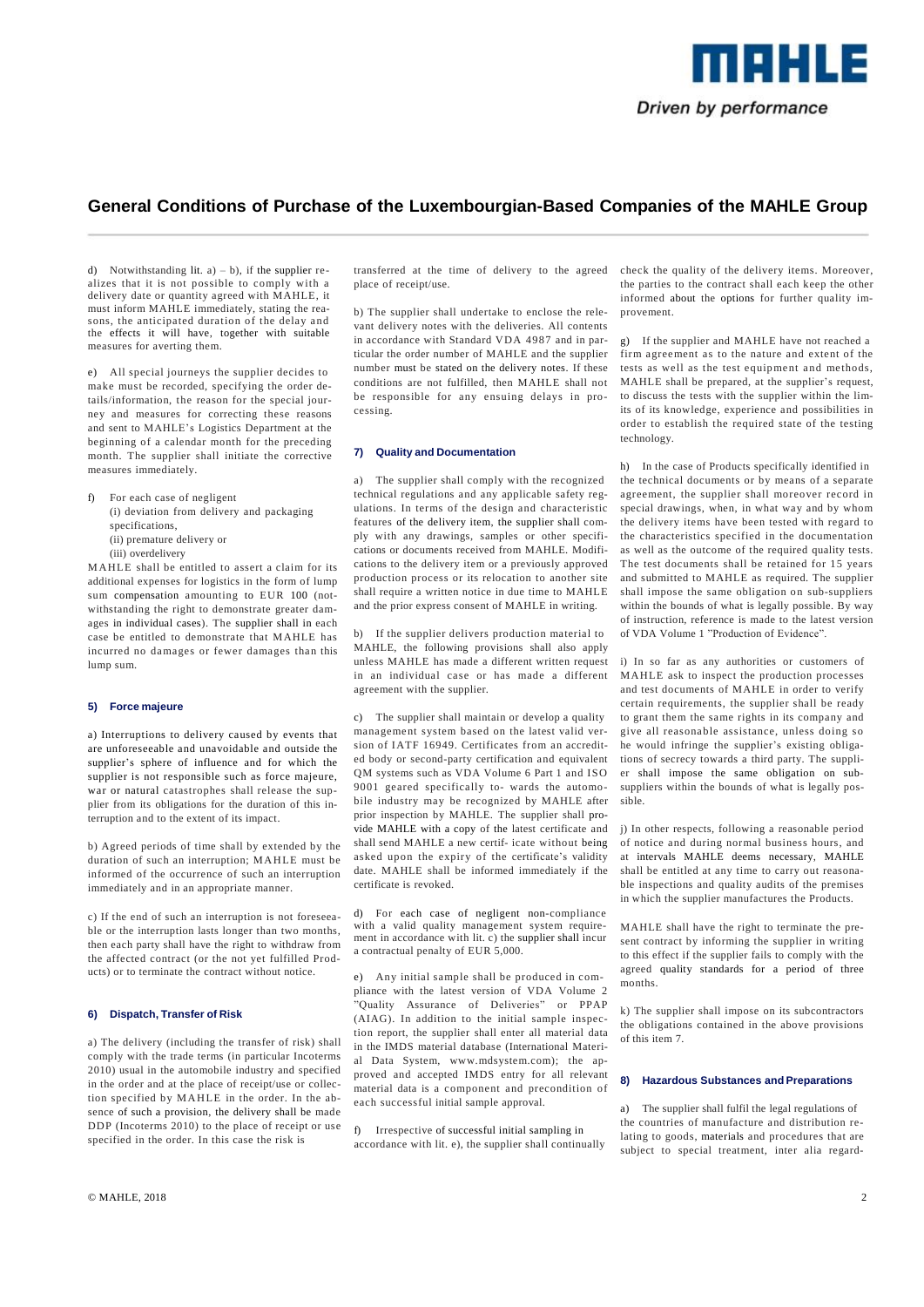

d) Notwithstanding lit.  $a$ ) – b), if the supplier realizes that it is not possible to comply with a delivery date or quantity agreed with MAHLE, it must inform MAHLE immediately, stating the reasons, the anticipated duration of the delay and the effects it will have, together with suitable measures for averting them.

e) All special journeys the supplier decides to make must be recorded, specifying the order details/information, the reason for the special journey and measures for correcting these reasons and sent to MAHLE's Logistics Department at the beginning of a calendar month for the preceding month. The supplier shall initiate the corrective measures immediately.

f) For each case of negligent (i) deviation from delivery and packaging specifications, (ii) premature delivery or (iii) overdelivery

M AHLE shall be entitled to assert a claim for its additional expenses for logistics in the form of lump sum compensation amounting to EUR 100 (notwithstanding the right to demonstrate greater damages in individual cases). The supplier shall in each case be entitled to demonstrate that MAHLE has incurred no damages or fewer damages than this lump sum.

## **5) Force majeure**

a) Interruptions to delivery caused by events that are unforeseeable and unavoidable and outside the supplier's sphere of influence and for which the supplier is not responsible such as force majeure, war or natural catastrophes shall release the supplier from its obligations for the duration of this interruption and to the extent of its impact.

b) Agreed periods of time shall by extended by the duration of such an interruption; M AHLE must be informed of the occurrence of such an interruption immediately and in an appropriate manner.

c) If the end of such an interruption is not foreseeable or the interruption lasts longer than two months, then each party shall have the right to withdraw from the affected contract (or the not yet fulfilled Products) or to terminate the contract without notice.

# **6) Dispatch, Transfer of Risk**

a) The delivery (including the transfer of risk) shall comply with the trade terms (in particular Incoterms 2010) usual in the automobile industry and specified in the order and at the place of receipt/use or collection specified by M AHLE in the order. In the absence of such a provision, the delivery shall be made DDP (Incoterms 2010) to the place of receipt or use specified in the order. In this case the risk is

transferred at the time of delivery to the agreed place of receipt/use.

b) The supplier shall undertake to enclose the relevant delivery notes with the deliveries. All contents in accordance with Standard VDA 4987 and in particular the order number of MAHLE and the supplier number must be stated on the delivery notes. If these conditions are not fulfilled, then MAHLE shall not be responsible for any ensuing delays in processing.

### **7) Quality and Documentation**

a) The supplier shall comply with the recognized technical regulations and any applicable safety regulations. In terms of the design and characteristic features of the delivery item, the supplier shall comply with any drawings, samples or other specifications or documents received from MAHLE. Modifications to the delivery item or a previously approved production process or its relocation to another site shall require a written notice in due time to MAHLE and the prior express consent of MAHLE in writing.

b) If the supplier delivers production material to MAHLE, the following provisions shall also apply unless MAHLE has made a different written request in an individual case or has made a different agreement with the supplier.

c) The supplier shall maintain or develop a quality management system based on the latest valid version of IATF 16949. Certificates from an accredited body or second-party certification and equivalent QM systems such as VDA Volume 6 Part 1 and ISO 9001 geared specifically to- wards the automobile industry may be recognized by MAHLE after prior inspection by MAHLE. The supplier shall provide MAHLE with a copy of the latest certificate and shall send MAHLE a new certif- icate without being asked upon the expiry of the certificate's validity date. MAHLE shall be informed immediately if the certificate is revoked.

For each case of negligent non-compliance with a valid quality management system requirement in accordance with lit. c) the supplier shall incur a contractual penalty of EUR 5,000.

e) Any initial sample shall be produced in compliance with the latest version of VDA Volume 2 "Quality Assurance of Deliveries" or PPAP (AIAG). In addition to the initial sample inspection report, the supplier shall enter all material data in the IMDS material database (International Material Data System, www.mdsystem.com); the approved and accepted IMDS entry for all relevant material data is a component and precondition of each successful initial sample approval.

f) Irrespective of successful initial sampling in accordance with lit. e), the supplier shall continually check the quality of the delivery items. Moreover, the parties to the contract shall each keep the other informed about the options for further quality improvement.

g) If the supplier and MAHLE have not reached a firm agreement as to the nature and extent of the tests as well as the test equipment and methods, MAHLE shall be prepared, at the supplier's request, to discuss the tests with the supplier within the limits of its knowledge, experience and possibilities in order to establish the required state of the testing technology.

h) In the case of Products specifically identified in the technical documents or by means of a separate agreement, the supplier shall moreover record in special drawings, when, in what way and by whom the delivery items have been tested with regard to the characteristics specified in the documentation as well as the outcome of the required quality tests. The test documents shall be retained for 15 years and submitted to MAHLE as required. The supplier shall impose the same obligation on sub-suppliers within the bounds of what is legally possible. By way of instruction, reference is made to the latest version of VDA Volume 1 "Production of Evidence".

i) In so far as any authorities or customers of MAHLE ask to inspect the production processes and test documents of MAHLE in order to verify certain requirements, the supplier shall be ready to grant them the same rights in its company and give all reasonable assistance, unless doing so he would infringe the supplier's existing obligations of secrecy towards a third party. The supplier shall impose the same obligation on subsuppliers within the bounds of what is legally possible.

j) In other respects, following a reasonable period of notice and during normal business hours, and at intervals MAHLE deems necessary, MAHLE shall be entitled at any time to carry out reasonable inspections and quality audits of the premises in which the supplier manufactures the Products.

MAHLE shall have the right to terminate the present contract by informing the supplier in writing to this effect if the supplier fails to comply with the agreed quality standards for a period of three months.

k) The supplier shall impose on its subcontractors the obligations contained in the above provisions of this item 7.

### **8) Hazardous Substances and Preparations**

a) The supplier shall fulfil the legal regulations of the countries of manufacture and distribution relating to goods, materials and procedures that are subject to special treatment, inter alia regard-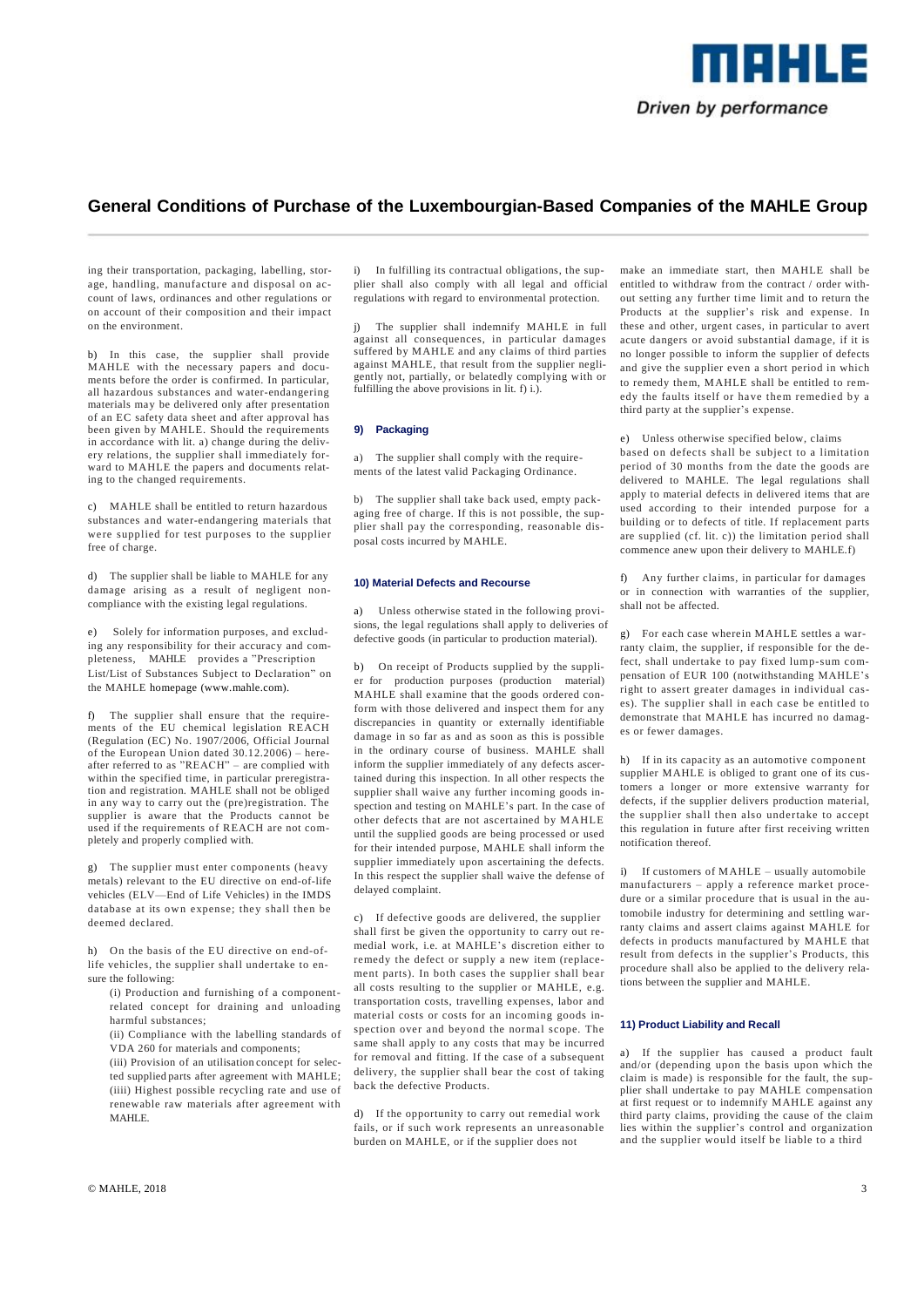

ing their transportation, packaging, labelling, storage, handling, manufacture and disposal on account of laws, ordinances and other regulations or on account of their composition and their impact on the environment.

b) In this case, the supplier shall provide MAHLE with the necessary papers and documents before the order is confirmed. In particular, all hazardous substances and water-endangering materials may be delivered only after presentation of an EC safety data sheet and after approval has been given by MAHLE. Should the requirements in accordance with lit. a) change during the delivery relations, the supplier shall immediately forward to MAHLE the papers and documents relating to the changed requirements.

c) MAHLE shall be entitled to return hazardous substances and water-endangering materials that were supplied for test purposes to the supplier free of charge.

d) The supplier shall be liable to MAHLE for any damage arising as a result of negligent noncompliance with the existing legal regulations.

e) Solely for information purposes, and excluding any responsibility for their accuracy and completeness, MAHLE provides a "Prescription List/List of Substances Subject to Declaration" on the MAHLE homepage (www.mahle.com).

f) The supplier shall ensure that the requirements of the EU chemical legislation REACH (Regulation (EC) No. 1907/2006, Official Journal of the European Union dated 30.12.2006) – hereafter referred to as "REACH" – are complied with within the specified time, in particular preregistration and registration. MAHLE shall not be obliged in any way to carry out the (pre)registration. The supplier is aware that the Products cannot be used if the requirements of REACH are not completely and properly complied with.

g) The supplier must enter components (heavy metals) relevant to the EU directive on end-of-life vehicles (ELV—End of Life Vehicles) in the IMDS database at its own expense; they shall then be deemed declared.

h) On the basis of the EU directive on end-oflife vehicles, the supplier shall undertake to ensure the following:

- (i) Production and furnishing of a componentrelated concept for draining and unloading harmful substances;
- (ii) Compliance with the labelling standards of VDA 260 for materials and components;
- (iii) Provision of an utilisation concept for selected supplied parts after agreement with MAHLE; (iiii) Highest possible recycling rate and use of renewable raw materials after agreement with MAHLE.

i) In fulfilling its contractual obligations, the supplier shall also comply with all legal and official regulations with regard to environmental protection.

j) The supplier shall indemnify MAHLE in full against all consequences, in particular damages suffered by MAHLE and any claims of third parties against MAHLE, that result from the supplier negligently not, partially, or belatedly complying with or fulfilling the above provisions in lit. f) i.).

#### **9) Packaging**

a) The supplier shall comply with the requirements of the latest valid Packaging Ordinance.

b) The supplier shall take back used, empty packaging free of charge. If this is not possible, the supplier shall pay the corresponding, reasonable disposal costs incurred by MAHLE.

### **10) Material Defects and Recourse**

a) Unless otherwise stated in the following provisions, the legal regulations shall apply to deliveries of defective goods (in particular to production material).

b) On receipt of Products supplied by the supplier for production purposes (production material) MAHLE shall examine that the goods ordered conform with those delivered and inspect them for any discrepancies in quantity or externally identifiable damage in so far as and as soon as this is possible in the ordinary course of business. MAHLE shall inform the supplier immediately of any defects ascertained during this inspection. In all other respects the supplier shall waive any further incoming goods inspection and testing on MAHLE's part. In the case of other defects that are not ascertained by MAHLE until the supplied goods are being processed or used for their intended purpose, MAHLE shall inform the supplier immediately upon ascertaining the defects. In this respect the supplier shall waive the defense of delayed complaint.

c) If defective goods are delivered, the supplier shall first be given the opportunity to carry out remedial work, i.e. at MAHLE's discretion either to remedy the defect or supply a new item (replacement parts). In both cases the supplier shall bear all costs resulting to the supplier or MAHLE, e.g. transportation costs, travelling expenses, labor and material costs or costs for an incoming goods inspection over and beyond the normal scope. The same shall apply to any costs that may be incurred for removal and fitting. If the case of a subsequent delivery, the supplier shall bear the cost of taking back the defective Products.

d) If the opportunity to carry out remedial work fails, or if such work represents an unreasonable burden on MAHLE, or if the supplier does not

make an immediate start, then MAHLE shall be entitled to withdraw from the contract / order without setting any further time limit and to return the Products at the supplier's risk and expense. In these and other, urgent cases, in particular to avert acute dangers or avoid substantial damage, if it is no longer possible to inform the supplier of defects and give the supplier even a short period in which to remedy them, MAHLE shall be entitled to remedy the faults itself or have them remedied by a third party at the supplier's expense.

e) Unless otherwise specified below, claims based on defects shall be subject to a limitation period of 30 months from the date the goods are delivered to MAHLE. The legal regulations shall apply to material defects in delivered items that are used according to their intended purpose for a building or to defects of title. If replacement parts are supplied (cf. lit. c)) the limitation period shall commence anew upon their delivery to MAHLE.f)

f) Any further claims, in particular for damages or in connection with warranties of the supplier, shall not be affected.

g) For each case wherein MAHLE settles a warranty claim, the supplier, if responsible for the defect, shall undertake to pay fixed lump-sum compensation of EUR 100 (notwithstanding MAHLE's right to assert greater damages in individual cases). The supplier shall in each case be entitled to demonstrate that MAHLE has incurred no damages or fewer damages.

h) If in its capacity as an automotive component supplier MAHLE is obliged to grant one of its customers a longer or more extensive warranty for defects, if the supplier delivers production material, the supplier shall then also undertake to accept this regulation in future after first receiving written notification thereof.

i) If customers of MAHLE – usually automobile manufacturers – apply a reference market procedure or a similar procedure that is usual in the automobile industry for determining and settling warranty claims and assert claims against MAHLE for defects in products manufactured by MAHLE that result from defects in the supplier's Products, this procedure shall also be applied to the delivery relations between the supplier and MAHLE.

## **11) Product Liability and Recall**

a) If the supplier has caused a product fault and/or (depending upon the basis upon which the claim is made) is responsible for the fault, the supplier shall undertake to pay MAHLE compensation at first request or to indemnify MAHLE against any third party claims, providing the cause of the claim lies within the supplier's control and organization and the supplier would itself be liable to a third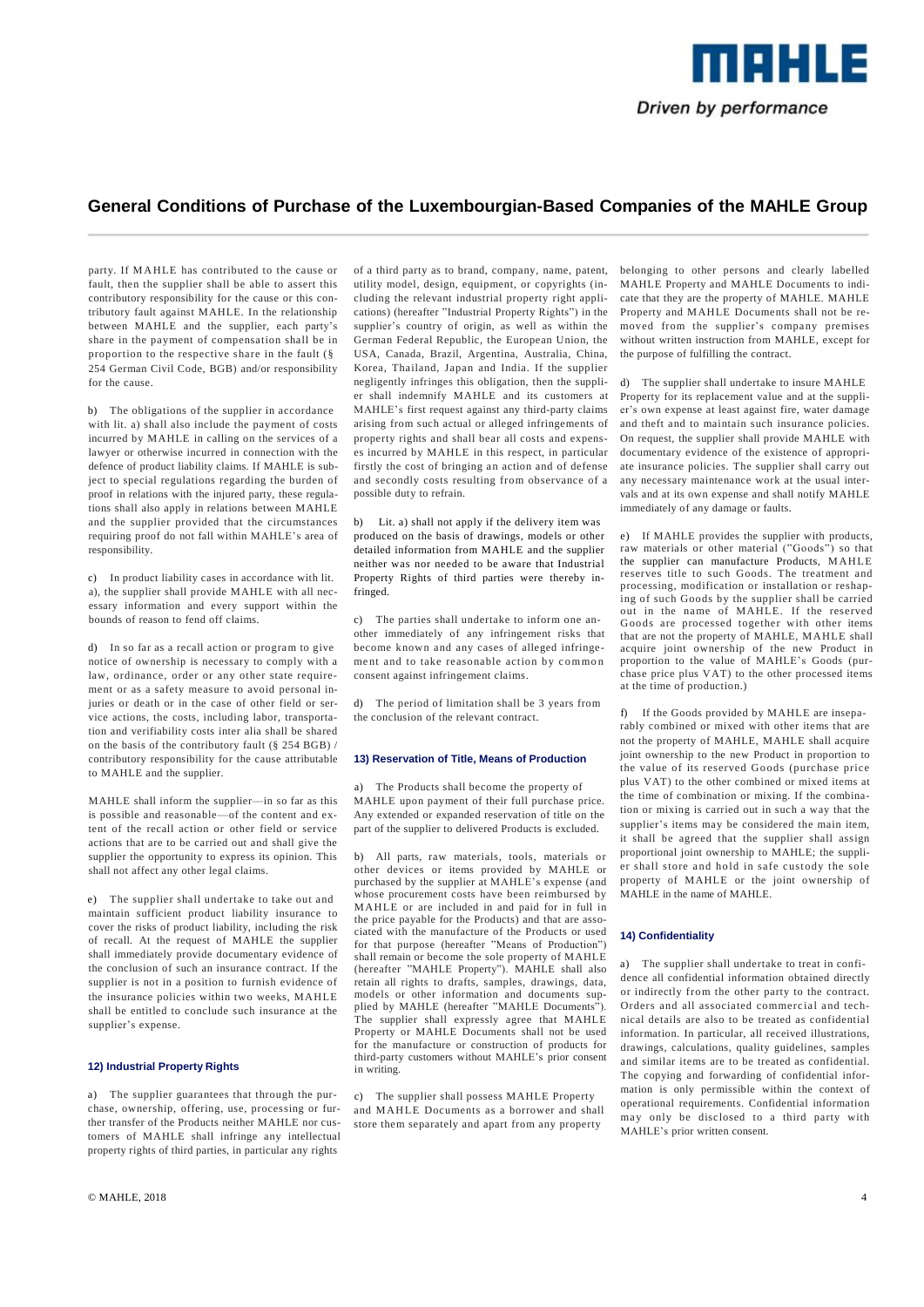

party. If M AHLE has contributed to the cause or fault, then the supplier shall be able to assert this contributory responsibility for the cause or this contributory fault against MAHLE. In the relationship between MAHLE and the supplier, each party's share in the payment of compensation shall be in proportion to the respective share in the fault (§ 254 German Civil Code, BGB) and/or responsibility for the cause.

b) The obligations of the supplier in accordance with lit. a) shall also include the payment of costs incurred by MAHLE in calling on the services of a lawyer or otherwise incurred in connection with the defence of product liability claims. If MAHLE is subject to special regulations regarding the burden of proof in relations with the injured party, these regulations shall also apply in relations between MAHLE and the supplier provided that the circumstances requiring proof do not fall within MAHLE's area of responsibility.

c) In product liability cases in accordance with lit. a), the supplier shall provide MAHLE with all necessary information and every support within the bounds of reason to fend off claims.

d) In so far as a recall action or program to give notice of ownership is necessary to comply with a law, ordinance, order or any other state requirement or as a safety measure to avoid personal injuries or death or in the case of other field or service actions, the costs, including labor, transportation and verifiability costs inter alia shall be shared on the basis of the contributory fault (§ 254 BGB) / contributory responsibility for the cause attributable to MAHLE and the supplier.

MAHLE shall inform the supplier—in so far as this is possible and reasonable—of the content and extent of the recall action or other field or service actions that are to be carried out and shall give the supplier the opportunity to express its opinion. This shall not affect any other legal claims.

e) The supplier shall undertake to take out and maintain sufficient product liability insurance to cover the risks of product liability, including the risk of recall. At the request of MAHLE the supplier shall immediately provide documentary evidence of the conclusion of such an insurance contract. If the supplier is not in a position to furnish evidence of the insurance policies within two weeks, MAHLE shall be entitled to conclude such insurance at the supplier's expense.

# **12) Industrial Property Rights**

a) The supplier guarantees that through the purchase, ownership, offering, use, processing or further transfer of the Products neither MAHLE nor customers of MAHLE shall infringe any intellectual property rights of third parties, in particular any rights

of a third party as to brand, company, name, patent, utility model, design, equipment, or copyrights (including the relevant industrial property right applications) (hereafter "Industrial Property Rights") in the supplier's country of origin, as well as within the German Federal Republic, the European Union, the USA, Canada, Brazil, Argentina, Australia, China, Korea, Thailand, Japan and India. If the supplier negligently infringes this obligation, then the supplier shall indemnify MAHLE and its customers at MAHLE's first request against any third-party claims arising from such actual or alleged infringements of property rights and shall bear all costs and expenses incurred by MAHLE in this respect, in particular firstly the cost of bringing an action and of defense and secondly costs resulting from observance of a possible duty to refrain.

b) Lit. a) shall not apply if the delivery item was produced on the basis of drawings, models or other detailed information from MAHLE and the supplier neither was nor needed to be aware that Industrial Property Rights of third parties were thereby infringed.

c) The parties shall undertake to inform one another immediately of any infringement risks that become known and any cases of alleged infringement and to take reasonable action by common consent against infringement claims.

d) The period of limitation shall be 3 years from the conclusion of the relevant contract.

#### **13) Reservation of Title, Means of Production**

a) The Products shall become the property of MAHLE upon payment of their full purchase price. Any extended or expanded reservation of title on the part of the supplier to delivered Products is excluded.

b) All parts, raw materials, tools, materials or other devices or items provided by MAHLE or purchased by the supplier at MAHLE's expense (and whose procurement costs have been reimbursed by MAHLE or are included in and paid for in full in the price payable for the Products) and that are associated with the manufacture of the Products or used for that purpose (hereafter "Means of Production") shall remain or become the sole property of MAHLE (hereafter "MAHLE Property"). MAHLE shall also retain all rights to drafts, samples, drawings, data, models or other information and documents supplied by MAHLE (hereafter "MAHLE Documents"). The supplier shall expressly agree that MAHLE Property or MAHLE Documents shall not be used for the manufacture or construction of products for third-party customers without MAHLE's prior consent in writing.

c) The supplier shall possess MAHLE Property and MAHLE Documents as a borrower and shall store them separately and apart from any property

belonging to other persons and clearly labelled MAHLE Property and MAHLE Documents to indicate that they are the property of MAHLE. MAHLE Property and MAHLE Documents shall not be removed from the supplier's company premises without written instruction from MAHLE, except for the purpose of fulfilling the contract.

d) The supplier shall undertake to insure MAHLE Property for its replacement value and at the supplier's own expense at least against fire, water damage and theft and to maintain such insurance policies. On request, the supplier shall provide MAHLE with documentary evidence of the existence of appropriate insurance policies. The supplier shall carry out any necessary maintenance work at the usual intervals and at its own expense and shall notify MAHLE immediately of any damage or faults.

e) If MAHLE provides the supplier with products, raw materials or other material ("Goods") so that the supplier can manufacture Products, MAHLE reserves title to such Goods. The treatment and processing, modification or installation or reshaping of such Goods by the supplier shall be carried out in the name of MAHLE. If the reserved Goods are processed together with other items that are not the property of MAHLE, MAHLE shall acquire joint ownership of the new Product in proportion to the value of MAHLE's Goods (purchase price plus VAT) to the other processed items at the time of production.)

f) If the Goods provided by MAHLE are inseparably combined or mixed with other items that are not the property of MAHLE, MAHLE shall acquire joint ownership to the new Product in proportion to the value of its reserved Goods (purchase price plus VAT) to the other combined or mixed items at the time of combination or mixing. If the combination or mixing is carried out in such a way that the supplier's items may be considered the main item, it shall be agreed that the supplier shall assign proportional joint ownership to MAHLE; the supplier shall store and hold in safe custody the sole property of MAHLE or the joint ownership of MAHLE in the name of MAHLE.

### **14) Confidentiality**

a) The supplier shall undertake to treat in confidence all confidential information obtained directly or indirectly from the other party to the contract. Orders and all associated commercial and technical details are also to be treated as confidential information. In particular, all received illustrations, drawings, calculations, quality guidelines, samples and similar items are to be treated as confidential. The copying and forwarding of confidential information is only permissible within the context of operational requirements. Confidential information may only be disclosed to a third party with MAHLE's prior written consent.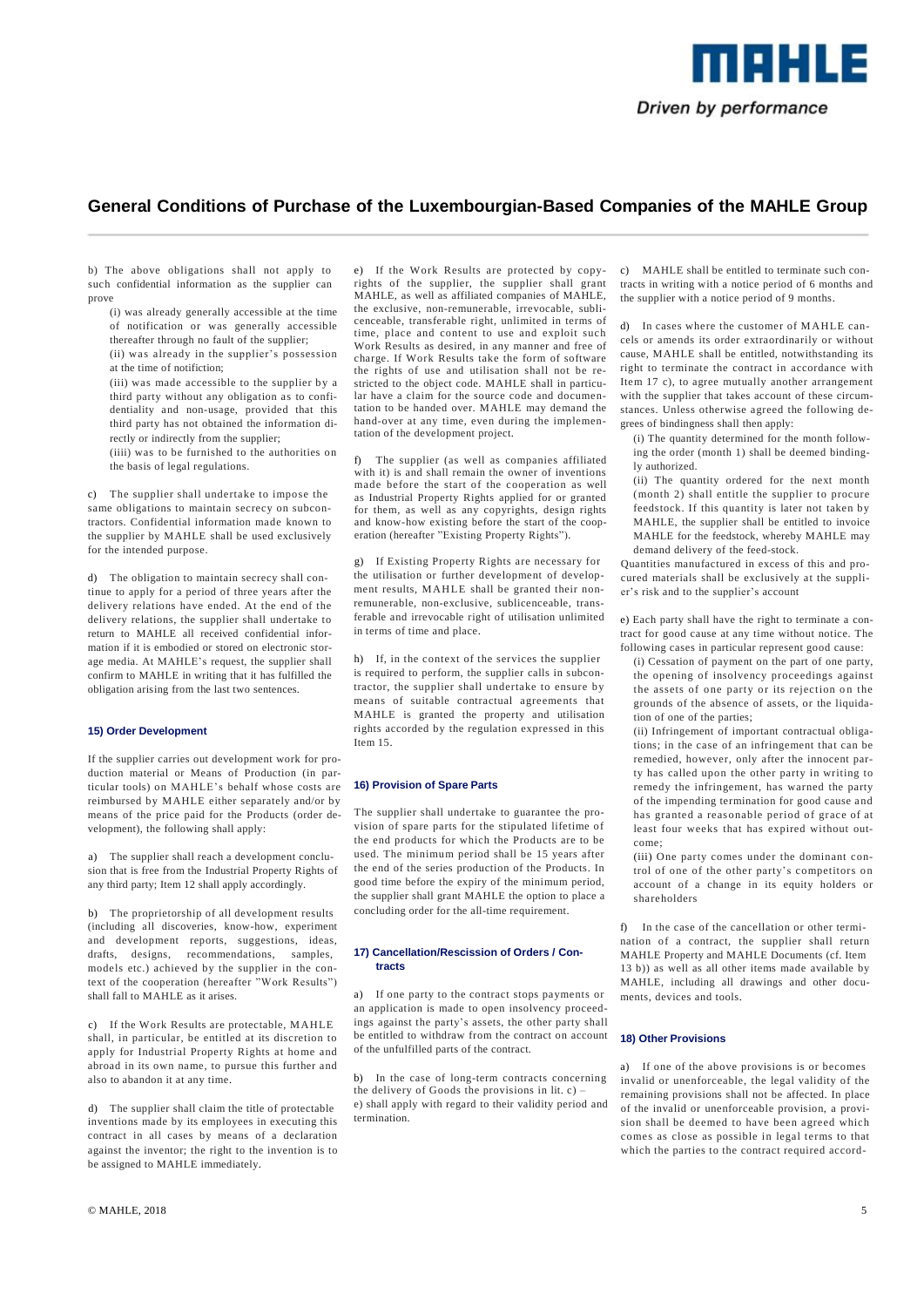

b) The above obligations shall not apply to such confidential information as the supplier can prove

- (i) was already generally accessible at the time of notification or was generally accessible thereafter through no fault of the supplier; (ii) was already in the supplier's possession at the time of notifiction;
- (iii) was made accessible to the supplier by a third party without any obligation as to confidentiality and non-usage, provided that this third party has not obtained the information directly or indirectly from the supplier;
- (iiii) was to be furnished to the authorities on the basis of legal regulations.

c) The supplier shall undertake to impose the same obligations to maintain secrecy on subcontractors. Confidential information made known to the supplier by MAHLE shall be used exclusively for the intended purpose.

d) The obligation to maintain secrecy shall continue to apply for a period of three years after the delivery relations have ended. At the end of the delivery relations, the supplier shall undertake to return to MAHLE all received confidential information if it is embodied or stored on electronic storage media. At MAHLE's request, the supplier shall confirm to MAHLE in writing that it has fulfilled the obligation arising from the last two sentences.

#### **15) Order Development**

If the supplier carries out development work for production material or Means of Production (in particular tools) on MAHLE's behalf whose costs are reimbursed by MAHLE either separately and/or by means of the price paid for the Products (order development), the following shall apply:

a) The supplier shall reach a development conclusion that is free from the Industrial Property Rights of any third party; Item 12 shall apply accordingly.

b) The proprietorship of all development results (including all discoveries, know-how, experiment and development reports, suggestions, ideas, drafts, designs, recommendations, samples, models etc.) achieved by the supplier in the context of the cooperation (hereafter "Work Results") shall fall to MAHLE as it arises.

c) If the Work Results are protectable, MAHLE shall, in particular, be entitled at its discretion to apply for Industrial Property Rights at home and abroad in its own name, to pursue this further and also to abandon it at any time.

d) The supplier shall claim the title of protectable inventions made by its employees in executing this contract in all cases by means of a declaration against the inventor; the right to the invention is to be assigned to MAHLE immediately.

e) If the Work Results are protected by copyrights of the supplier, the supplier shall grant MAHLE, as well as affiliated companies of MAHLE, the exclusive, non-remunerable, irrevocable, sublicenceable, transferable right, unlimited in terms of time, place and content to use and exploit such Work Results as desired, in any manner and free of charge. If Work Results take the form of software the rights of use and utilisation shall not be restricted to the object code. MAHLE shall in particular have a claim for the source code and documentation to be handed over. MAHLE may demand the hand-over at any time, even during the implementation of the development project.

f) The supplier (as well as companies affiliated with it) is and shall remain the owner of inventions made before the start of the cooperation as well as Industrial Property Rights applied for or granted for them, as well as any copyrights, design rights and know-how existing before the start of the cooperation (hereafter "Existing Property Rights").

g) If Existing Property Rights are necessary for the utilisation or further development of development results, MAHLE shall be granted their nonremunerable, non-exclusive, sublicenceable, transferable and irrevocable right of utilisation unlimited in terms of time and place.

h) If, in the context of the services the supplier is required to perform, the supplier calls in subcontractor, the supplier shall undertake to ensure by means of suitable contractual agreements that MAHLE is granted the property and utilisation rights accorded by the regulation expressed in this Item 15.

#### **16) Provision of Spare Parts**

The supplier shall undertake to guarantee the provision of spare parts for the stipulated lifetime of the end products for which the Products are to be used. The minimum period shall be 15 years after the end of the series production of the Products. In good time before the expiry of the minimum period, the supplier shall grant MAHLE the option to place a concluding order for the all-time requirement.

#### **17) Cancellation/Rescission of Orders / Contracts**

a) If one party to the contract stops payments or an application is made to open insolvency proceedings against the party's assets, the other party shall be entitled to withdraw from the contract on account of the unfulfilled parts of the contract.

b) In the case of long-term contracts concerning the delivery of Goods the provisions in lit. c) – e) shall apply with regard to their validity period and termination.

c) MAHLE shall be entitled to terminate such contracts in writing with a notice period of 6 months and the supplier with a notice period of 9 months.

d) In cases where the customer of M AHLE cancels or amends its order extraordinarily or without cause, MAHLE shall be entitled, notwithstanding its right to terminate the contract in accordance with Item 17 c), to agree mutually another arrangement with the supplier that takes account of these circumstances. Unless otherwise agreed the following degrees of bindingness shall then apply:

(i) The quantity determined for the month following the order (month 1) shall be deemed bindingly authorized.

(ii) The quantity ordered for the next month (month 2) shall entitle the supplier to procure feedstock. If this quantity is later not taken by MAHLE, the supplier shall be entitled to invoice MAHLE for the feedstock, whereby MAHLE may demand delivery of the feed-stock.

Quantities manufactured in excess of this and procured materials shall be exclusively at the supplier's risk and to the supplier's account

e) Each party shall have the right to terminate a contract for good cause at any time without notice. The following cases in particular represent good cause:

(i) Cessation of payment on the part of one party, the opening of insolvency proceedings against the assets of one party or its rejection on the grounds of the absence of assets, or the liquidation of one of the parties;

(ii) Infringement of important contractual obligations; in the case of an infringement that can be remedied, however, only after the innocent party has called upon the other party in writing to remedy the infringement, has warned the party of the impending termination for good cause and has granted a reasonable period of grace of at least four weeks that has expired without outcome;

(iii) One party comes under the dominant control of one of the other party's competitors on account of a change in its equity holders or shareholders

f) In the case of the cancellation or other termination of a contract, the supplier shall return MAHLE Property and MAHLE Documents (cf. Item 13 b)) as well as all other items made available by MAHLE, including all drawings and other documents, devices and tools.

#### **18) Other Provisions**

a) If one of the above provisions is or becomes invalid or unenforceable, the legal validity of the remaining provisions shall not be affected. In place of the invalid or unenforceable provision, a provision shall be deemed to have been agreed which comes as close as possible in legal terms to that which the parties to the contract required accord-